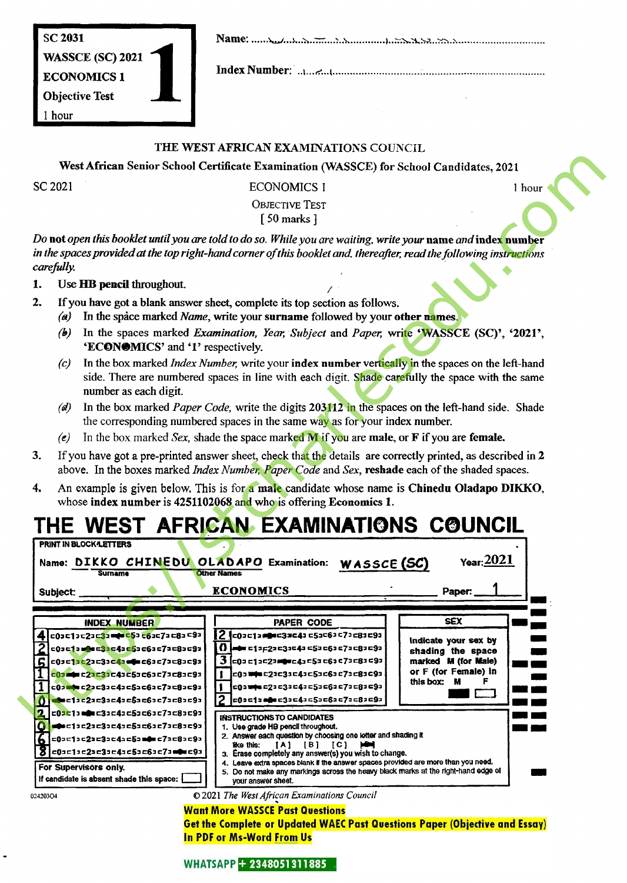SC 2031 WASSCE (SC) 2021 ECONOMICS 1 Objective Test 1 hour 1

Name:

IndexNumber:

### THE WESTAFRICAN EXAMINATIONS COUNCIL

## SC 2021 **ECONOMICS** 1 1 hour

## OBJECTIVE TEST [50 marks ]

- 2. If you have got a blank answer sheet, complete its top section as follows.
	- (a) In the space marked *Name*, write your surname followed by your other names.
	- (b) In the spaces marked Examination, Year, Subject and Paper, write 'WASSCE (SC)', '2021', 'ECONOMICS' and '1' respectively.
	- (c) In the box marked *Index Number*, write your **index number vertically in** the spaces on the left-hand side. There are numbered spaces in line with each digit. Shade carefully the space with the same number as each digit.
	- (d) In the box marked *Paper Code*, write the digits 203112 in the spaces on the left-hand side. Shade the corresponding numbered spaces in the same way as for your index number.
	- (e) In the box marked Sex, shade the space marked M if you are male, or F if you are female.
- 3. If you have got a pre-printed answer sheet, check that the details are correctly printed, as described in 2 above. In the boxes marked Index Number, Paper Code and Sex, reshade each of the shaded spaces.
- 4. An example is given below. This is for a male candidate whose name is Chinedu Oladapo DIKKO, whose index number is  $4251102068$  and who is offering Economics 1.

# THE WEST AFRICAN EXAMINATIONS COUNCIL

|        |                                                                                                                                                                                                                                                                                                                                                                                                                                                                                                                                       | West African Senior School Certificate Examination (WASSCE) for School Candidates, 2021                                                                                                                                               |                                             |  |  |  |  |  |
|--------|---------------------------------------------------------------------------------------------------------------------------------------------------------------------------------------------------------------------------------------------------------------------------------------------------------------------------------------------------------------------------------------------------------------------------------------------------------------------------------------------------------------------------------------|---------------------------------------------------------------------------------------------------------------------------------------------------------------------------------------------------------------------------------------|---------------------------------------------|--|--|--|--|--|
|        | SC 2021                                                                                                                                                                                                                                                                                                                                                                                                                                                                                                                               | <b>ECONOMICS 1</b>                                                                                                                                                                                                                    | 1 hour                                      |  |  |  |  |  |
|        |                                                                                                                                                                                                                                                                                                                                                                                                                                                                                                                                       | <b>OBJECTIVE TEST</b>                                                                                                                                                                                                                 |                                             |  |  |  |  |  |
|        |                                                                                                                                                                                                                                                                                                                                                                                                                                                                                                                                       | $[50$ marks $]$                                                                                                                                                                                                                       |                                             |  |  |  |  |  |
|        | carefully.                                                                                                                                                                                                                                                                                                                                                                                                                                                                                                                            | Do not open this booklet until you are told to do so. While you are waiting, write your name and index number<br>in the spaces provided at the top right-hand corner of this booklet and, thereafter, read the following instructions |                                             |  |  |  |  |  |
| 1.     | Use HB pencil throughout.                                                                                                                                                                                                                                                                                                                                                                                                                                                                                                             |                                                                                                                                                                                                                                       |                                             |  |  |  |  |  |
| 2.     | If you have got a blank answer sheet, complete its top section as follows.<br>In the space marked Name, write your surname followed by your other names.<br>(a)<br>In the spaces marked Examination, Year, Subject and Paper, write 'WASSCE (SC)', '2021',<br>(b)<br>'ECONOMICS' and '1' respectively.<br>In the box marked <i>Index Number</i> , write your <b>index number</b> vertically in the spaces on the left-hand<br>(c)<br>side. There are numbered spaces in line with each digit. Shade carefully the space with the same |                                                                                                                                                                                                                                       |                                             |  |  |  |  |  |
|        | number as each digit.<br>In the box marked <i>Paper Code</i> , write the digits 203112 in the spaces on the left-hand side. Shade<br>(d)<br>the corresponding numbered spaces in the same way as for your index number.                                                                                                                                                                                                                                                                                                               |                                                                                                                                                                                                                                       |                                             |  |  |  |  |  |
|        | (e)                                                                                                                                                                                                                                                                                                                                                                                                                                                                                                                                   | In the box marked Sex, shade the space marked $\bf{M}$ if you are <b>male</b> , or $\bf{F}$ if you are <b>female.</b>                                                                                                                 |                                             |  |  |  |  |  |
| 3.     | If you have got a pre-printed answer sheet, check that the details are correctly printed, as described in 2<br>above. In the boxes marked Index Number, Paper Code and Sex, reshade each of the shaded spaces.                                                                                                                                                                                                                                                                                                                        |                                                                                                                                                                                                                                       |                                             |  |  |  |  |  |
| 4.     | An example is given below. This is for a male candidate whose name is Chinedu Oladapo DIKKO,<br>whose index number is 4251102068 and who is offering Economics 1.                                                                                                                                                                                                                                                                                                                                                                     |                                                                                                                                                                                                                                       |                                             |  |  |  |  |  |
|        |                                                                                                                                                                                                                                                                                                                                                                                                                                                                                                                                       |                                                                                                                                                                                                                                       |                                             |  |  |  |  |  |
|        | PRINT IN BLOCK LETTERS                                                                                                                                                                                                                                                                                                                                                                                                                                                                                                                | THE WEST AFRICAN EXAMINATIONS COUNCIL                                                                                                                                                                                                 |                                             |  |  |  |  |  |
|        | Name: DIKKO CHINEDU OLADAPO Examination:<br>Surname<br><b>Subject:</b>                                                                                                                                                                                                                                                                                                                                                                                                                                                                | WASSCE (SC)<br><b>Other Names</b><br><b>ECONOMICS</b>                                                                                                                                                                                 | Year: 2021<br>Paper:                        |  |  |  |  |  |
|        | <b>INDEX NUMBER</b>                                                                                                                                                                                                                                                                                                                                                                                                                                                                                                                   | PAPER CODE                                                                                                                                                                                                                            | <b>SEX</b>                                  |  |  |  |  |  |
| 41     |                                                                                                                                                                                                                                                                                                                                                                                                                                                                                                                                       | 2 c03c13mmm=33c43c53c63c73c83c93                                                                                                                                                                                                      | indicate your sex by                        |  |  |  |  |  |
|        | =03 = 1 a ma = 3 = = 4 = 5 = = 6 = = 7 = = 8 = = 9 =                                                                                                                                                                                                                                                                                                                                                                                                                                                                                  | o<br> =● с1зд2зс3зс4з с5зс6зс7зс8зс9з                                                                                                                                                                                                 | shading the space                           |  |  |  |  |  |
|        | c0sc1sc2ac3ac4ammc6ac7ac8ac9a<br>c03 adm c23c33c43c53c63c73c83c93                                                                                                                                                                                                                                                                                                                                                                                                                                                                     | 3<br> =0a =1a=2a <b>m@w</b> =4a =5a =6a =7a =8a =9a<br>c0a <b>ww</b> c21c31c41c5ac6ac7ac81c91                                                                                                                                         | marked M (for Male)<br>or F (for Female) in |  |  |  |  |  |
| 1      | $c0$ Jela c $2$ Jc $3$ Jc $4$ Jc $5$ Jc $6$ Jc $7$ Jc $8$ Jc $9$ J                                                                                                                                                                                                                                                                                                                                                                                                                                                                    | c0awwsc2ac3ac4ac5ac6ac7ac8ac9a                                                                                                                                                                                                        | this box: M<br>F                            |  |  |  |  |  |
|        | <b>Nesciac2ac3ac4ac5ac6ac7ac8ac9a</b>                                                                                                                                                                                                                                                                                                                                                                                                                                                                                                 | c0 a c1 a mga c3 a c4 a c5 a c6 a c7 a c8 a c9 a                                                                                                                                                                                      |                                             |  |  |  |  |  |
| 12     |                                                                                                                                                                                                                                                                                                                                                                                                                                                                                                                                       |                                                                                                                                                                                                                                       |                                             |  |  |  |  |  |
|        | c01cl3mmc3ac4ac5ac6ac7ac8ac9a                                                                                                                                                                                                                                                                                                                                                                                                                                                                                                         | <b>INSTRUCTIONS TO CANDIDATES</b>                                                                                                                                                                                                     |                                             |  |  |  |  |  |
| 0<br>6 | <b>=0</b> ×=1=c2=c3=c4=c5=c6=c7=c8=c9=<br>  ⊏0コ⊏1コ⊏2コ⊏3コ⊏4コ⊏5コ■●■ ⊏7コ⊏8コ⊏9⊐                                                                                                                                                                                                                                                                                                                                                                                                                                                           | 1. Use grade HB pencil throughout.<br>2. Answer each question by choosing one letter and shading it                                                                                                                                   |                                             |  |  |  |  |  |
|        | c0ac1ac2ac3ac4ac5ac6ac7a <b>m0e</b> c9a                                                                                                                                                                                                                                                                                                                                                                                                                                                                                               | $[A]$ $[B]$ $[C]$<br>нн<br>ilke this:<br>3. Erase completely any answer(s) you wish to change.                                                                                                                                        |                                             |  |  |  |  |  |
|        | For Supervisors only.<br>If candidate is absent shade this space: [                                                                                                                                                                                                                                                                                                                                                                                                                                                                   | 4. Leave extra spaces blank if the answer spaces provided are more than you need.<br>5. Do not make any markings across the heavy black marks at the right-hand edge of<br>vour answer sheet.                                         |                                             |  |  |  |  |  |

**Get the Complete or Updated WAEC Past Questions Paper (Objective and Essay) In PDF or Ms-Word From Us**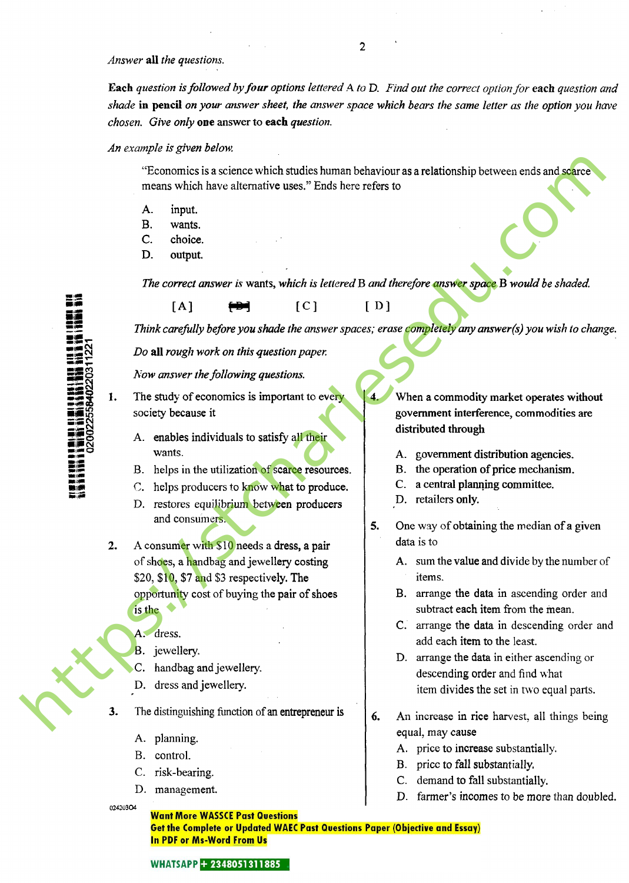Answer all the questions.

Each question is followed by four options lettered A to D. Find out the correct option for each question and shade in pencil on your answer sheet, the answer space which bears the same letter as the option you have chosen. Give only one answer to each question.

#### An example is given below.

"Economics isa science which studies human behaviour as arelationshipbetween ends and scarce means which have alternative uses." Ends here refers to

- A. input.
- B. wants.
- C. choice.
- D. output.

The correct answer is wants, which is lettered B and therefore answer space B would be shaded.

mm m'0 W **iii**<br>**išš**iiš<br>203112  $\bullet$   $\bullet$ ias §§ **25**  $\Xi$ 

Think carefully before you shade the answer spaces; erase completely any answer(s) you wish to change.

Do all rough work on this question paper.

 $[A]$   $\longleftrightarrow$   $[C]$   $[D]$ 

Now answer the following questions.

- 1. The study of economics is important to every society because it
	- A. enables individuals to satisfy all their wants.
	- B. helps in the utilization of scarce resources.
	- C. helps producers to know what to produce.
	- D. restores equilibrium between producers and consumers.
- A consumer with \$10 needs a dress, a pair of shoes, a handbag and jewellery costing \$20, \$10, \$7 and \$3 respectively. The opportunity cost of buying the pair of shoes is the  $\bullet$ **From other assumes the strainer of the control of the strainer of the street of the control of the street of the street of the street of the street of the street of the street of the street of the street of the street of** 
	- A. dress.
	- B. jewellery.
	- C. handbag and jewellery.
	- D. dress and jewellery.
	- The distinguishing function of an entrepreneur is
		- A. planning.
		- B. control.
		- C. risk-bearing.
		- D. management.

02420304

4. When a commodity market operates without government interference, commodities are distributed through

- A. government distribution agencies.
- B. the operation of price mechanism.
- C. a central planning committee.
- D. retailers only.

5. One way of obtaining the median of a given data is to

- A. sum the value and divide by the number of items.
- B. arrange the data in ascending order and subtract each item from the mean.
- C. arrange the data in descending order and add each item to the least.
- D. arrange the data in either ascending or descending order and find what item divides the set in two equal parts.
- 6. An increase in rice harvest, all things being equal, may cause
	- A. price to increase substantially.
	- B. price to fall substantially.
	- C. demand to fall substantially.
	- D. farmer's incomes to be more than doubled.

**Want More WASSCE Past Questions** Get the Complete or Updated WAEC Past Questions Paper (Objective and Essay) In PDF or Ms-Word From Us

 $\overline{2}$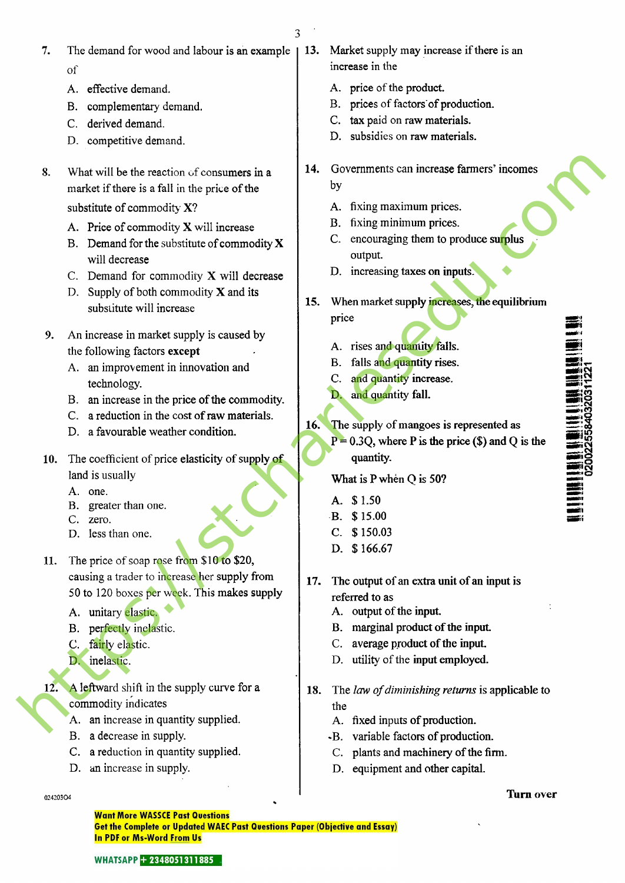3

- 7. The demand for wood and labour is an example of
	- A. effective demand.
	- B. complementary demand.
	- C. derived demand.
	- D. competitive demand.
- 8. What will be the reaction of consumers in a market if there is a fall in the price of the substitute of commodity X?
	- A. Price of commodity X will increase
	- B. Demand for the substitute of commodity  $X$ will decrease
	- C. Demand for commodity X will decrease
	- D. Supply of both commodity  $X$  and its substitute will increase
- 9. An increase in market supply is caused by the following factors except
	- A. an improvement in innovation and technology.
	- B. an increase in the price of the commodity.
	- C. a reduction in the cost of raw materials.
	- D. a favourable weather condition.
- 10. The coefficient of price elasticity of supply of land is usually
	- A. one.
	- B. greater than one.
	- C. zero.
	- D. less than one.
- 11. The price of soap rose from \$10 to \$20, causing a trader to increase her supply from 50 to 120 boxes per week. This makes supply **S**<br>
What will be the reaction of consumers in a<br>
contentification is a foll in the picto of the<br>
solution of consumption  $X$ <br>
A. Frice of commodity  $X'$ <br>
A. Frice of commodity  $X'$ <br>
A. Frice of commodity  $X'$ <br>
Will discu
	- A. unitary elastic.
	- B. perfectly inelastic.
	- C. fairly elastic.
	- D. inelastic.

12. A leftward shift in the supply curve for a commodity indicates

- A. an increase in quantity supplied.
- B. a decrease in supply.
- C. a reduction in quantity supplied.
- D. an increase in supply.
- 13. Market supply may increase if there is an increase in the
	- A. price of the product.
	- B. prices of factors of production.
	- C. tax paid on raw materials.
	- D. subsidies on raw materials.
- 14. Governments can increase farmers' incomes by
	- A. fixing maximum prices.
	- B. fixing minimum prices.
	- C. encouraging them to produce surplus output.
	- D. increasing taxes on inputs.
- 15. When market supply increases, the equilibrium price
	- A. rises and quantity falls.
	- B. falls and quantity rises.
	- C. and quantity increase.
	- D. and quantity fall.
- 16. The supply of mangoes is represented as
	- $P = 0.3Q$ , where P is the price (\$) and Q is the quantity.

What is P when Q is 50?

- A. \$1.50
- B. \$15.00
- C. \$150.03
- D. \$166.67
- 17. The output of an extra unit of an input is referred to as
	- A. output of the input.
	- B. marginal product of the input.
	- C. average product of the input.
	- D. utility of the input employed.
- 18. The law of diminishing returns is applicable to the
	- A. fixed inputs of production.
	- -B. variable factors of production.
	- C. plants and machinery of the firm.
	- D. equipment and other capital.

#### $\frac{1}{1}$  and  $\frac{1}{1}$  and  $\frac{1}{1}$  and  $\frac{1}{1}$  and  $\frac{1}{1}$  and  $\frac{1}{1}$  and  $\frac{1}{1}$  are  $\frac{1}{1}$  and  $\frac{1}{1}$  are  $\frac{1}{1}$  and  $\frac{1}{1}$  are  $\frac{1}{1}$  and  $\frac{1}{1}$  and  $\frac{1}{1}$  are  $\frac{1}{1}$  and  $\frac{1}{1}$  a

 $\mathbf{S}$ 

~-S

 $\Xi_{8}^{\infty}$ •O

**Want More WASSCE Past Questions** Get the Complete or Updated WAEC Past Questions Paper (Objective and Essay) In PDF or Ms-Word From Us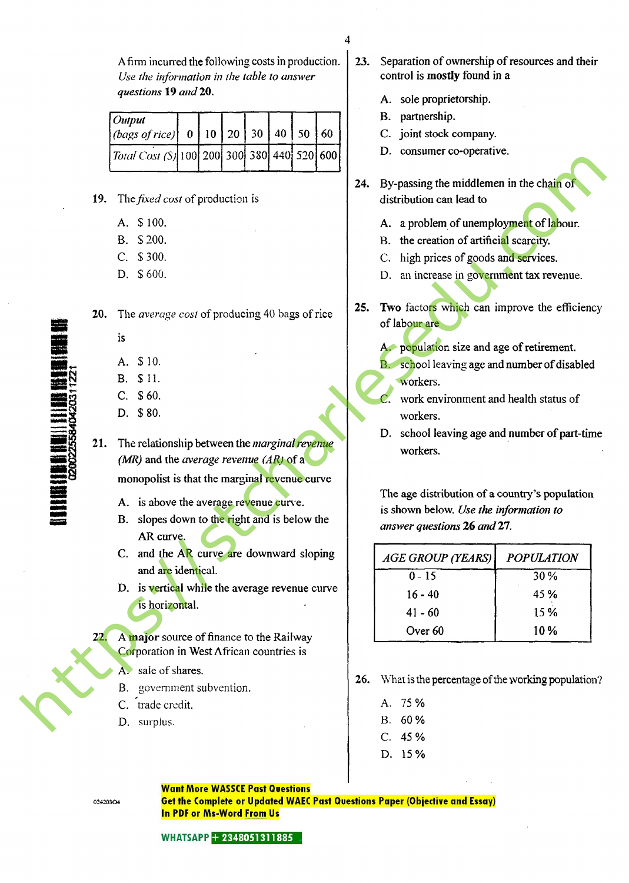A firm incurred the following costs in production. Use the information in the table to answer questions 19 and 20.

| $10$ utput<br> (bags of rice)  0   10   20   30   40   50   60 |  |  |  |  |
|----------------------------------------------------------------|--|--|--|--|
| Total Cost (S)  100  200  300  380  440  520  600              |  |  |  |  |

- B. S 200.
- C. \$300.
- D. \$600.
- 

- is
- A. \$ 10.
- B. \$11.
- C. \$60.
- D. \$80.
- 21. The relationship between the *marginal revenue* (MR) and the average revenue (AR) of a monopolist is that the marginal revenue curve
	- A. is above the average revenue curve.
	- B. slopes down to the right and is below the AR curve.
	- C. and the AR curve are downward sloping and are identical.
	- D. is vertical while the average revenue curve is horizontal.
- 22. A major source of finance to the Railway Corporation in West African countries is
	- A. sale of shares.
	- B. government subvention.
	- C. trade credit.
	- D. surplus.
- 23. Separation of ownership of resources and their control is mostly found in a
	- A. sole proprietorship.
	- B. partnership.

4

- C. joint stock company.
- D. consumer co-operative.
- 24. By-passing the middlemen in the chain of distribution can lead to
	- A. a problem of unemployment of labour.
	- B. the creation of artificial scarcity.
	- C. high prices of goods and services.
	- D. an increase in government tax revenue.
- 25. Two factors which can improve the efficiency of labour are
	- A. population size and age of retirement.
		- school leaving age and number of disabled workers.
		- work environment and health status of workers.
	- D. school leaving age and number of part-time workers.

|     | <i>Total Cost (S)</i> [100] 200] 300] 380] 440] 520] 600]                                                                                                      |     | $\nu$ . consumer co-operative.                                                                                                                                           |                     |
|-----|----------------------------------------------------------------------------------------------------------------------------------------------------------------|-----|--------------------------------------------------------------------------------------------------------------------------------------------------------------------------|---------------------|
|     | 19. The fixed cost of production is                                                                                                                            | 24. | By-passing the middlemen in the chain of<br>distribution can lead to                                                                                                     |                     |
|     | A. \$100.<br>\$200.<br><b>B.</b><br>\$300.<br>$C_{\cdot}$<br>D. \$600.                                                                                         |     | A. a problem of unemployment of labour.<br>B. the creation of artificial scarcity.<br>C. high prices of goods and services.<br>D. an increase in government tax revenue. |                     |
| 20. | The <i>average cost</i> of producing 40 bags of rice<br>is                                                                                                     | 25. | Two factors which can improve the efficiency<br>of labour are<br>A. population size and age of retirement.                                                               |                     |
|     | \$10.<br>А.<br>\$11.<br>B.<br>C. \$60.<br>D. \$80.                                                                                                             |     | B. school leaving age and number of disabled<br>workers.<br>work environment and health status of                                                                        |                     |
| 21. | The relationship between the <i>marginal revenue</i><br>(MR) and the average revenue (AR) of a                                                                 |     | workers.<br>D. school leaving age and number of part-time<br>workers.                                                                                                    |                     |
|     | monopolist is that the marginal revenue curve<br>A. is above the average revenue curve.<br>slopes down to the right and is below the<br><b>B.</b><br>AR curve. |     | The age distribution of a country's population<br>is shown below. Use the information to<br>answer questions 26 and 27.                                                  |                     |
|     | C. and the AR curve are downward sloping<br>and are identical.                                                                                                 |     | <b>AGE GROUP (YEARS)</b>                                                                                                                                                 | <b>POPULATION</b>   |
|     | D. is vertical while the average revenue curve<br>is horizontal.                                                                                               |     | $0 - 15$<br>$16 - 40$<br>$41 - 60$                                                                                                                                       | 30 %<br>45 %<br>15% |
| 22. | A major source of finance to the Railway<br>Corporation in West African countries is                                                                           |     | Over 60                                                                                                                                                                  | 10%                 |
|     | A. sale of shares.<br>B. government subvention.<br>C. trade credit.                                                                                            | 26. | What is the percentage of the working population?<br>A. 75 %                                                                                                             |                     |
|     | D. surplus.                                                                                                                                                    |     | B. 60 %                                                                                                                                                                  |                     |

- 26. What is the percentage of the working population?
	- A. 75% B. 60% C. 45%
	- D. 15%

#### **Want More WASSCE Past Questions**

02420304

**Get the Complete or Updated WAEC Past Questions Paper (Objective and Essay) In PDF or Ms-Word From Us**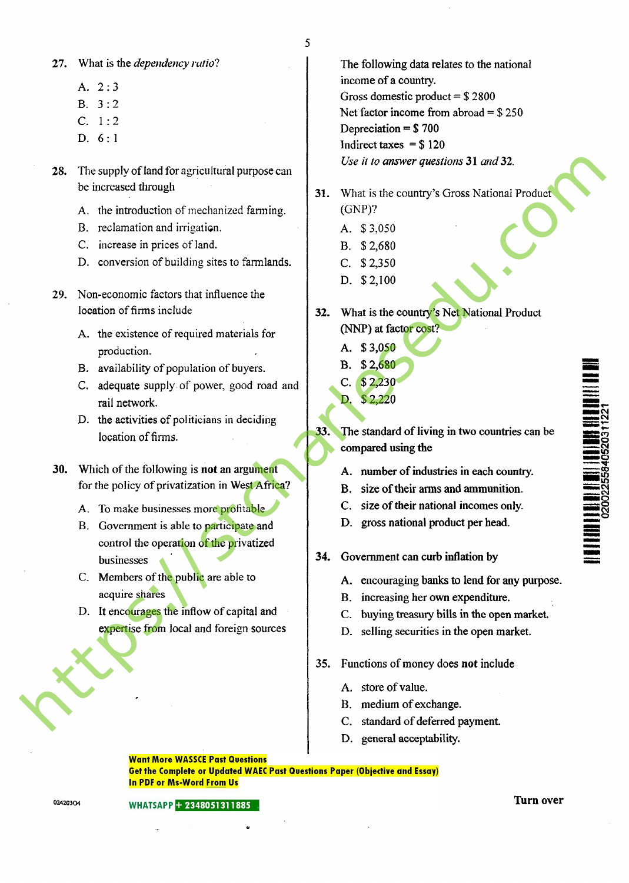27. What is the *dependency ratio*?

- A. 2:3
- B. 3:2
- C. 1:2
- D. 6: 1
- 28. The supply of land for agricultural purpose can be increased through
	- A. the introduction of mechanized fanning.
	- B. reclamation and irrigation.
	- C. increase in prices of land.
	- D. conversion of building sites to farmlands.
- 29. Non-economic factors that influence the location of firms include
	- A. the existence of required materials for production.
	- B. availability of population of buyers.
	- C. adequate supply of power, good road and rail network.
	- D. the activities of politicians in deciding location of firms.
- 30. Which of the following is not an argument for the policy of privatization in West Africa?
	- A. To make businesses more profitable
- B. Government is able to participate and control the operation of the privatized businesses **15.** The supply of land the strained lunger and the strained through the strained transformation of mechanismic scheme in given in the strained properties in the strained properties in the strained properties of mechanis
	- C. Members of the public are able to acquire shares
	- D. It encourages the inflow of capital and expertise from local and foreign sources

The following data relates to the national income of a country. Gross domestic product  $= $2800$ Net factor income from abroad  $=$  \$250 Depreciation =  $$700$ Indirect taxes  $=$  \$120 Use it to answer questions 31 and 32.

- 31. What is the country's Gross National Product (GNP)?
	- A. \$ 3,050
	- B. \$2,680
	- C. \$2,350
	- D. \$2,100
- 32. What is the country's Net National Product (NNP) at factor cost?
	- A. \$3,050
	- B. \$2,680
	- C. \$2,230
	- D. \$2,220
- 33. The standard of living in two countries can be compared using the
	- A. number of industries in each country.
	- B. size of their arms and ammunition.
	- C. size of their national incomes only.
	- D. gross national product per head.
- 34. Government can curb inflation by
	- A. encouraging banks to lend for any purpose.
	- B. increasing her own expenditure.
	- C. buying treasury bills in the open market.
	- D. selling securities in the open market.
- 35. Functions of money does not include
	- A. store of value.
	- B. medium of exchange.
	- C. standard of deferred payment.
	- D. general acceptability.

**Want More WASSCE Past Questions Get the Complete or Updated WAEC Past Questions Paper (Objective and Essay) In PDF or Ms-Word From Us** 

02420304

Turn over

 $\frac{1}{2}$ 

o 'ন ິເດີ<br>ເຫ •o

ÿin :N i<br>02002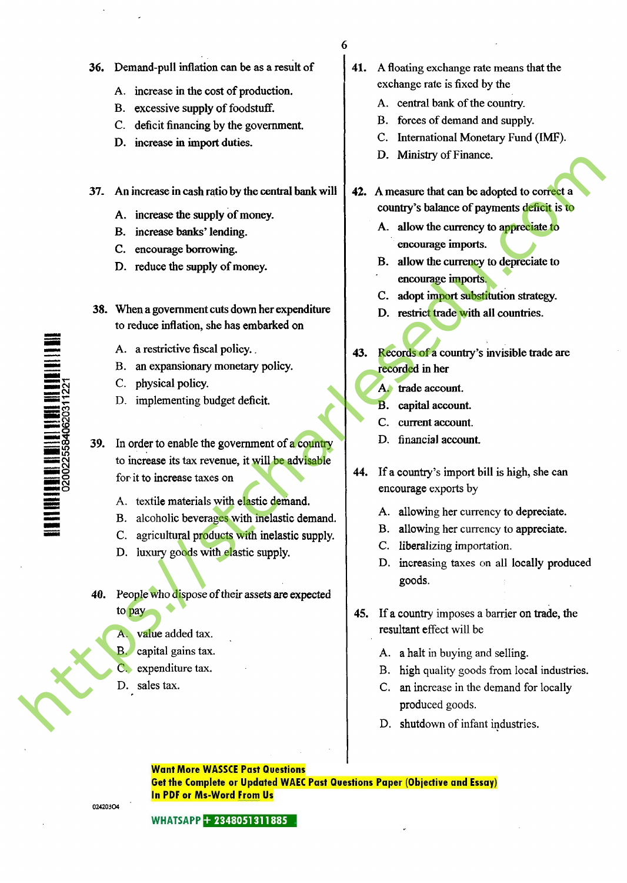- 6
- 36. Demand-pull inflation can be as a result of
	- A. increase in the cost of production.
	- B. excessive supply of foodstuff.
	- C. deficit financing by the government.
	- D. increase in import duties.

37. An increase in cash ratio by the central bank will

- A. increase the supply of money.
- B. increase banks' lending.
- C. encourage borrowing.
- D. reduce the supply of money.
- 38. When a government cuts down her expenditure to reduce inflation, she has embarked on
	- A. a restrictive fiscal policy.
	- B. an expansionary monetary policy.
	- C. physical policy.
	- D. implementing budget deficit.

39. In order to enable the government of a country to increase its tax revenue, it will be advisable for it to increase taxes on

- A. textile materials with elastic demand.
- B. alcoholic beverages with inelastic demand.
- C. agricultural products with inelastic supply.
- D. luxury goods with elastic supply.
- 40. People who dispose of their assets are expected to pay
	- A. value added tax.
	- B. capital gains tax.
	- C. expenditure tax.
	- D. sales tax.

02420304

- 
- 41. A floating exchange rate means that the exchange rate is fixed by the
	- A. central bank of the country.
	- B. forces of demand and supply.
	- C. International Monetary Fund (IMF).
	- D. Ministry of Finance.
- 42. A measure that can be adopted to correct a country's balance of payments deficit is to
	- A. allow the currency to appreciate to encourage imports.
	- B. allow the currency to depreciate to encourage imports.
	- C. adopt import substitution strategy.
	- D. restrict trade with all countries.
- Records of a country's invisible trade are 43. recorded in her
	- A. trade account.
	- **B.** capital account.
	- C. current account.
	- D. financial account.
- 44. If a country's import bill is high, she can encourage exports by
	- A. allowing her currency to depreciate.
	- B. allowing her currency to appreciate.
	- C. liberalizing importation.
	- D. increasing taxes on all locally produced goods.
- 45. If a country imposes a barrier on trade, the resultant effect will be
	- A. a halt in buying and selling.
	- B. high quality goods from local industries.
	- C. an increase in the demand for locally produced goods.
	- D. shutdown of infant industries.

#### **Want More WASSCE Past Questions**

**Get the Complete or Updated WAEC Past Questions Paper (Objective and Essay) In PDF or Ms-Word From Us** 

**WHATSAPP + 2348051311885** 

 $\begin{array}{c} \hline \textbf{H} \textbf{H} \textbf{H} \textbf{H} \textbf{H} \textbf{H} \textbf{H} \textbf{H} \textbf{H} \textbf{H} \textbf{H} \textbf{H} \textbf{H} \textbf{H} \textbf{H} \textbf{H} \textbf{H} \textbf{H} \textbf{H} \textbf{H} \textbf{H} \textbf{H} \textbf{H} \textbf{H} \textbf{H} \textbf{H} \textbf{H} \textbf{H} \textbf{H} \textbf{H} \textbf{H} \textbf{H} \textbf{H} \textbf{H} \textbf{H}$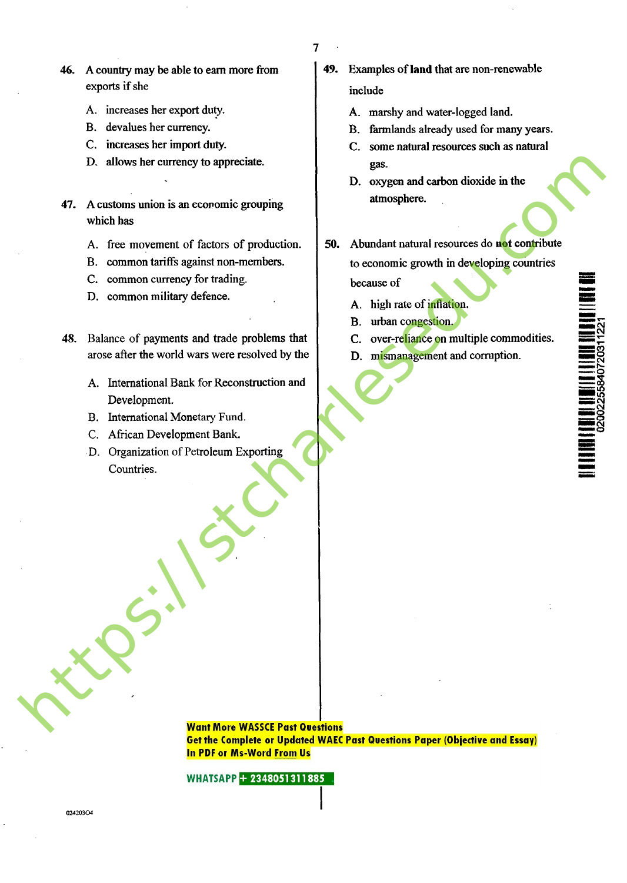- 46. A country may be able to earn more from exports if she
	- A. increases her export duty.
	- B. devalues her currency.
	- C. increases her import duty.
	- D. allows her currency to appreciate.
- 47. A customs union is an economic grouping which has
	- A. free movement of factors of production.
	- B. common tariffs against non-members.
	- C. common currency for trading.
	- D. common military defence.
- 48. Balance of payments and trade problems that arose after the world wars were resolved by the
	- A. International Bank for Reconstruction and Development.
	- B. International Monetary Fund.
	- C. African Development Bank.
	- D. Organization of Petroleum Exporting Countries.
- 49. Examples of land that are non-renewable include
	- A. marshy and water-logged land.
	- B. farmlands already used for many years.
	- C. some natural resources such as natural gas.
	- D. oxygen and carbon dioxide in the atmosphere.
- 50. Abundant natural resources do not contribute to economic growth in developing countries because of
	- A. high rate of inflation.
	- B. urban congestion.
	- C. over-reliance on multiple commodities.
	- D. mismanagement and corruption.

**Want More WASSCE Past Questions Get the Complete or Updated WAEC Past Questions Paper (Objective and Essay) In PDF or Ms-Word From Us**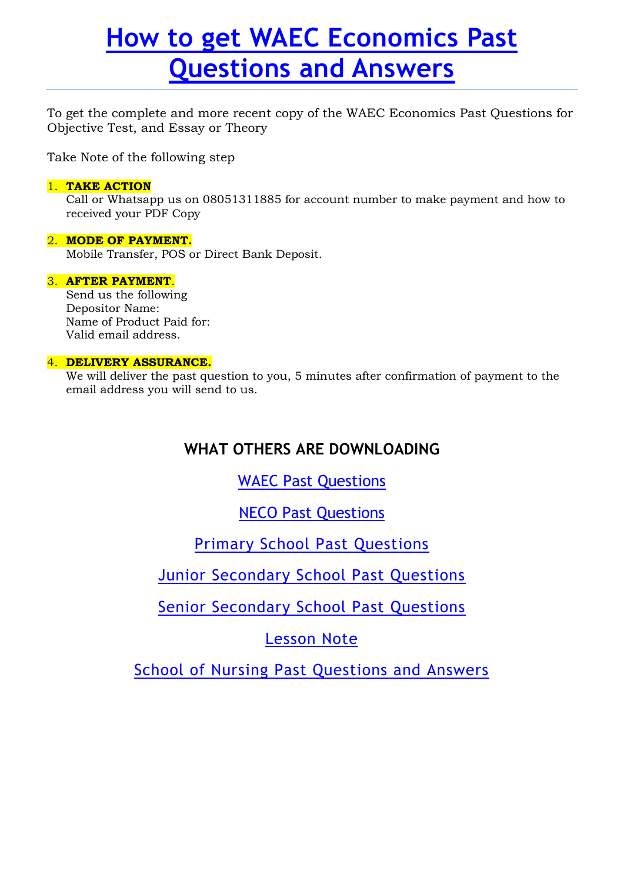# How to get WAEC Economics Past Questions and Answers

To get the complete and more recent copy of the WAEC Economics Past Questions for Objective Test, and Essay or Theory

Take Note of the following step

### 1. TAKE ACTION

Call or Whatsapp us on 08051311885 for account number to make payment and how to received your PDF Copy

## 2. MODE OF PAYMENT.

Mobile Transfer, POS or Direct Bank Deposit.

## 3. AFTER PAYMENT.

Send us the following Depositor Name: Name of Product Paid for: Valid email address.

## 4. DELIVERY ASSURANCE.

We will deliver the past question to you, 5 minutes after confirmation of payment to the email address you will send to us.

# WHAT OTHERS ARE DOWNLOADING

# WAEC Past Questions

NECO Past Questions

Primary School Past Questions

Junior Secondary School Past Questions

Senior Secondary School Past Questions

Lesson Note

School of Nursing Past Questions and Answers